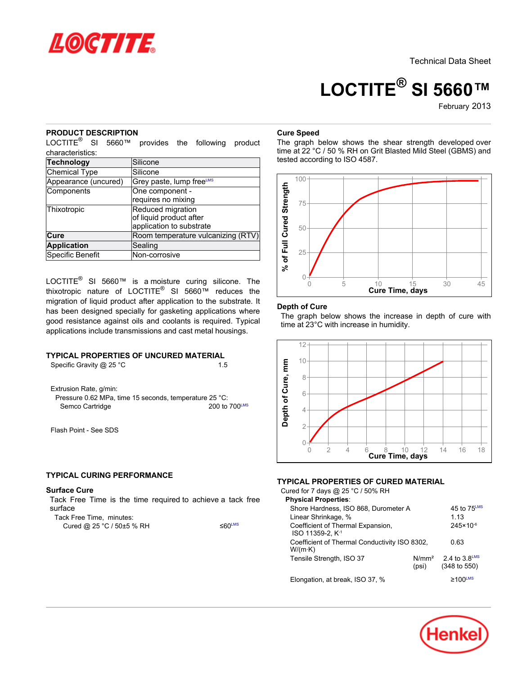

# **LOCTITE® SI 5660™**

February-2013

## **PRODUCT DESCRIPTION**

LOCTITE® SI 5660™ provides the following product characteristics:

| Technology           | Silicone                             |
|----------------------|--------------------------------------|
| Chemical Type        | Silicone                             |
| Appearance (uncured) | Grey paste, lump free <sup>∟ms</sup> |
| Components           | One component -                      |
|                      | requires no mixing                   |
| Thixotropic          | Reduced migration                    |
|                      | of liquid product after              |
|                      | application to substrate             |
| Cure                 | Room temperature vulcanizing (RTV)   |
| <b>Application</b>   | Sealing                              |
| Specific Benefit     | Non-corrosive                        |

LOCTITE® SI 5660™ is a moisture curing silicone. The thixotropic nature of LOCTITE® SI 5660™ reduces the migration of liquid product after application to the substrate. It has been designed specially for gasketing applications where good resistance against oils and coolants is required. Typical applications include transmissions and cast metal housings.

## **TYPICAL PROPERTIES OF UNCURED MATERIAL**

Specific Gravity @ 25 °C 1.5

Extrusion Rate, g/min:

Pressure 0.62 MPa, time 15 seconds, temperature 25 °C: Semco Cartridge 200 to 700LMS

Flash Point - See SDS

## **TYPICAL CURING PERFORMANCE**

#### **Surface Cure**

Tack Free Time is the time required to achieve a tack free surface

Cured @ 25 °C / 50±5 % RH ≤60<sup>LMS</sup>

# **Cure Speed**

The graph below shows the shear strength developed over time at 22 °C / 50 % RH on Grit Blasted Mild Steel (GBMS) and tested according to ISO 4587.



#### **Depth of Cure**

The graph below shows the increase in depth of cure with time at 23°C with increase in humidity.



### **TYPICAL PROPERTIES OF CURED MATERIAL**

Cured for 7 days @ 25 °C / 50% RH **Physical Properties**: Shore Hardness, ISO 868, Durometer A 45 to 75LMS Linear Shrinkage, % 1.13 Coefficient of Thermal Expansion, ISO 11359-2, K -1 245×10-6 Coefficient of Thermal Conductivity ISO 8302, W/(m·K) 0.63 Tensile Strength, ISO 37 N/mm<sup>2</sup> 2.4 to 3.8LMS (psi) (348 to 550) Elongation, at break, ISO 37, %  $\geq 100^{\text{LMS}}$ 

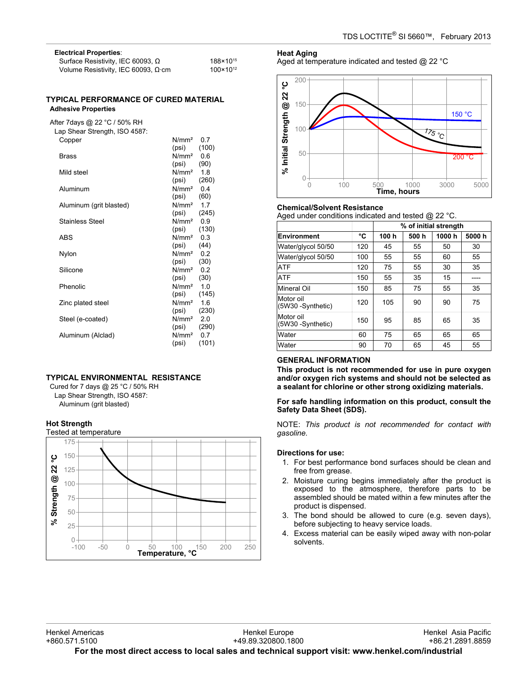| <b>Electrical Properties:</b>              |                      |
|--------------------------------------------|----------------------|
| Surface Resistivity, IEC 60093, $\Omega$   | 188×10 <sup>15</sup> |
| Volume Resistivity, IEC 60093, $\Omega$ cm | $100 \times 10^{12}$ |

#### **TYPICAL PERFORMANCE OF CURED MATERIAL Adhesive Properties**

After 7days @ 22 °C / 50% RH Lap Shear Strength, ISO 4587:

| Copper                  | N/mm <sup>2</sup><br>(psi)               | 0.7<br>(100) |
|-------------------------|------------------------------------------|--------------|
| Brass                   | $N/mm2$ 0.6<br>(psi)                     | (90)         |
| Mild steel              | $N/mm2$ 1.8                              |              |
| Aluminum                | (psi)<br>$N/mm2$ 0.4                     | (260)        |
| Aluminum (grit blasted) | (psi)<br>$N/mm2$ 1.7                     | (60)         |
| <b>Stainless Steel</b>  | $(psi)$ $(245)$<br>N/mm <sup>2</sup> 0.9 |              |
| <b>ABS</b>              | $(psi)$ $(130)$<br>N/mm <sup>2</sup>     | 0.3          |
| Nylon                   | $(psi)$ (44)<br>$N/mm2$ 0.2              |              |
|                         | $(psi)$ (30)                             |              |
| Silicone                | $N/mm2$ 0.2<br>$(psi)$ (30)              |              |
| Phenolic                | N/mm <sup>2</sup> 1.0<br>(psi)           | (145)        |
| Zinc plated steel       | N/mm <sup>2</sup><br>(psi)               | 1.6<br>(230) |
| Steel (e-coated)        | N/mm <sup>2</sup> 2.0<br>(psi)           | (290)        |
| Aluminum (Alclad)       | $N/mm2$ 0.7<br>(psi)                     | (101)        |

## **TYPICAL ENVIRONMENTAL RESISTANCE**

Cured for 7 days @ 25 °C / 50% RH Lap Shear Strength, ISO 4587: Aluminum (grit blasted)

#### **Hot Strength**



#### **Heat Aging**

Aged at temperature indicated and tested @ 22 °C



#### **Chemical/Solvent Resistance**

Aged under conditions indicated and tested @ 22 °C.

|                                |     | % of initial strength |      |       |       |
|--------------------------------|-----|-----------------------|------|-------|-------|
| Environment                    | °C  | 100h                  | 500h | 1000h | 5000h |
| Water/glycol 50/50             | 120 | 45                    | 55   | 50    | 30    |
| Water/glycol 50/50             | 100 | 55                    | 55   | 60    | 55    |
| <b>ATF</b>                     | 120 | 75                    | 55   | 30    | 35    |
| <b>ATF</b>                     | 150 | 55                    | 35   | 15    |       |
| Mineral Oil                    | 150 | 85                    | 75   | 55    | 35    |
| Motor oil<br>(5W30 -Synthetic) | 120 | 105                   | 90   | 90    | 75    |
| Motor oil<br>(5W30 -Synthetic) | 150 | 95                    | 85   | 65    | 35    |
| Water                          | 60  | 75                    | 65   | 65    | 65    |
| Water                          | 90  | 70                    | 65   | 45    | 55    |

### **GENERAL INFORMATION**

**This product is not recommended for use in pure oxygen and/or oxygen rich systems and should not be selected as a sealant for chlorine or other strong oxidizing materials.**

### **For safe handling information on this product, consult the Safety Data Sheet (SDS).**

NOTE: *This product is not recommended for contact with gasoline.*

#### **Directions for use:**

- 1. For best performance bond surfaces should be clean and free from grease.
- 2. Moisture curing begins immediately after the product is exposed to the atmosphere, therefore parts to be assembled should be mated within a few minutes after the product is dispensed.
- 3. The bond should be allowed to cure (e.g. seven days), before subjecting to heavy service loads.
- 4. Excess material can be easily wiped away with non-polar solvents.